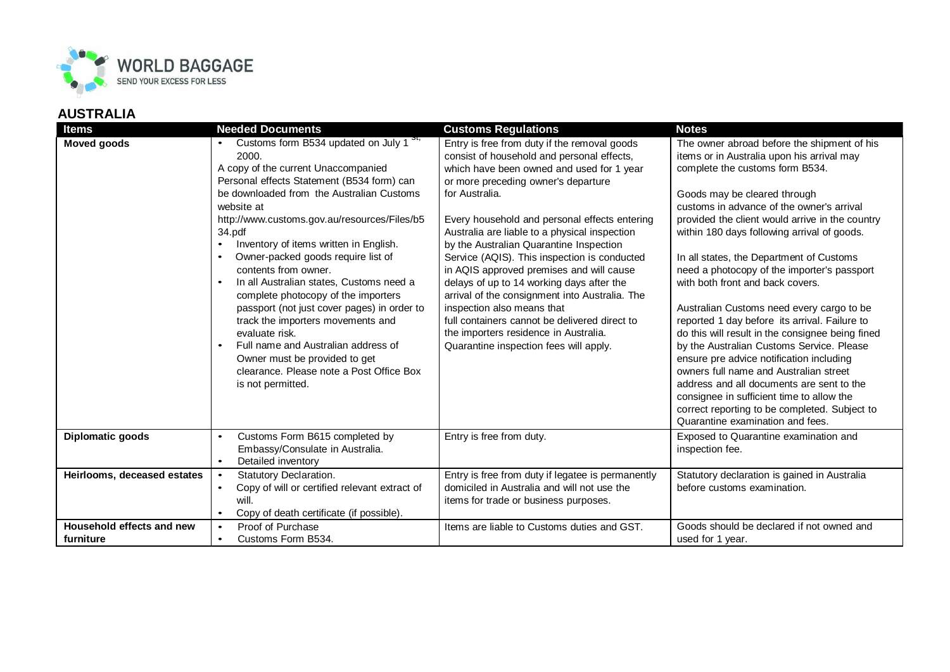

| <b>Items</b>                           | <b>Needed Documents</b>                                                                                                                                                                                                                                                                                                                                                                                                                                                                                                                                                                                                                                                                                                                                | <b>Customs Regulations</b>                                                                                                                                                                                                                                                                                                                                                                                                                                                                                                                                                                                                                                                                                 | <b>Notes</b>                                                                                                                                                                                                                                                                                                                                                                                                                                                                                                                                                                                                                                                                                                                                                                                                                                                                                                   |
|----------------------------------------|--------------------------------------------------------------------------------------------------------------------------------------------------------------------------------------------------------------------------------------------------------------------------------------------------------------------------------------------------------------------------------------------------------------------------------------------------------------------------------------------------------------------------------------------------------------------------------------------------------------------------------------------------------------------------------------------------------------------------------------------------------|------------------------------------------------------------------------------------------------------------------------------------------------------------------------------------------------------------------------------------------------------------------------------------------------------------------------------------------------------------------------------------------------------------------------------------------------------------------------------------------------------------------------------------------------------------------------------------------------------------------------------------------------------------------------------------------------------------|----------------------------------------------------------------------------------------------------------------------------------------------------------------------------------------------------------------------------------------------------------------------------------------------------------------------------------------------------------------------------------------------------------------------------------------------------------------------------------------------------------------------------------------------------------------------------------------------------------------------------------------------------------------------------------------------------------------------------------------------------------------------------------------------------------------------------------------------------------------------------------------------------------------|
| <b>Moved goods</b>                     | Customs form B534 updated on July 1 <sup>5t,</sup><br>2000.<br>A copy of the current Unaccompanied<br>Personal effects Statement (B534 form) can<br>be downloaded from the Australian Customs<br>website at<br>http://www.customs.gov.au/resources/Files/b5<br>34.pdf<br>Inventory of items written in English.<br>$\bullet$<br>Owner-packed goods require list of<br>contents from owner.<br>In all Australian states, Customs need a<br>$\bullet$<br>complete photocopy of the importers<br>passport (not just cover pages) in order to<br>track the importers movements and<br>evaluate risk.<br>Full name and Australian address of<br>$\bullet$<br>Owner must be provided to get<br>clearance. Please note a Post Office Box<br>is not permitted. | Entry is free from duty if the removal goods<br>consist of household and personal effects,<br>which have been owned and used for 1 year<br>or more preceding owner's departure<br>for Australia.<br>Every household and personal effects entering<br>Australia are liable to a physical inspection<br>by the Australian Quarantine Inspection<br>Service (AQIS). This inspection is conducted<br>in AQIS approved premises and will cause<br>delays of up to 14 working days after the<br>arrival of the consignment into Australia. The<br>inspection also means that<br>full containers cannot be delivered direct to<br>the importers residence in Australia.<br>Quarantine inspection fees will apply. | The owner abroad before the shipment of his<br>items or in Australia upon his arrival may<br>complete the customs form B534.<br>Goods may be cleared through<br>customs in advance of the owner's arrival<br>provided the client would arrive in the country<br>within 180 days following arrival of goods.<br>In all states, the Department of Customs<br>need a photocopy of the importer's passport<br>with both front and back covers.<br>Australian Customs need every cargo to be<br>reported 1 day before its arrival. Failure to<br>do this will result in the consignee being fined<br>by the Australian Customs Service. Please<br>ensure pre advice notification including<br>owners full name and Australian street<br>address and all documents are sent to the<br>consignee in sufficient time to allow the<br>correct reporting to be completed. Subject to<br>Quarantine examination and fees. |
| Diplomatic goods                       | Customs Form B615 completed by<br>Embassy/Consulate in Australia.<br>Detailed inventory<br>$\bullet$                                                                                                                                                                                                                                                                                                                                                                                                                                                                                                                                                                                                                                                   | Entry is free from duty.                                                                                                                                                                                                                                                                                                                                                                                                                                                                                                                                                                                                                                                                                   | Exposed to Quarantine examination and<br>inspection fee.                                                                                                                                                                                                                                                                                                                                                                                                                                                                                                                                                                                                                                                                                                                                                                                                                                                       |
| Heirlooms, deceased estates            | Statutory Declaration.<br>$\bullet$<br>Copy of will or certified relevant extract of<br>$\bullet$<br>will.<br>Copy of death certificate (if possible).<br>$\bullet$                                                                                                                                                                                                                                                                                                                                                                                                                                                                                                                                                                                    | Entry is free from duty if legatee is permanently<br>domiciled in Australia and will not use the<br>items for trade or business purposes.                                                                                                                                                                                                                                                                                                                                                                                                                                                                                                                                                                  | Statutory declaration is gained in Australia<br>before customs examination.                                                                                                                                                                                                                                                                                                                                                                                                                                                                                                                                                                                                                                                                                                                                                                                                                                    |
| Household effects and new<br>furniture | Proof of Purchase<br>$\bullet$<br>Customs Form B534.<br>$\bullet$                                                                                                                                                                                                                                                                                                                                                                                                                                                                                                                                                                                                                                                                                      | Items are liable to Customs duties and GST.                                                                                                                                                                                                                                                                                                                                                                                                                                                                                                                                                                                                                                                                | Goods should be declared if not owned and<br>used for 1 year.                                                                                                                                                                                                                                                                                                                                                                                                                                                                                                                                                                                                                                                                                                                                                                                                                                                  |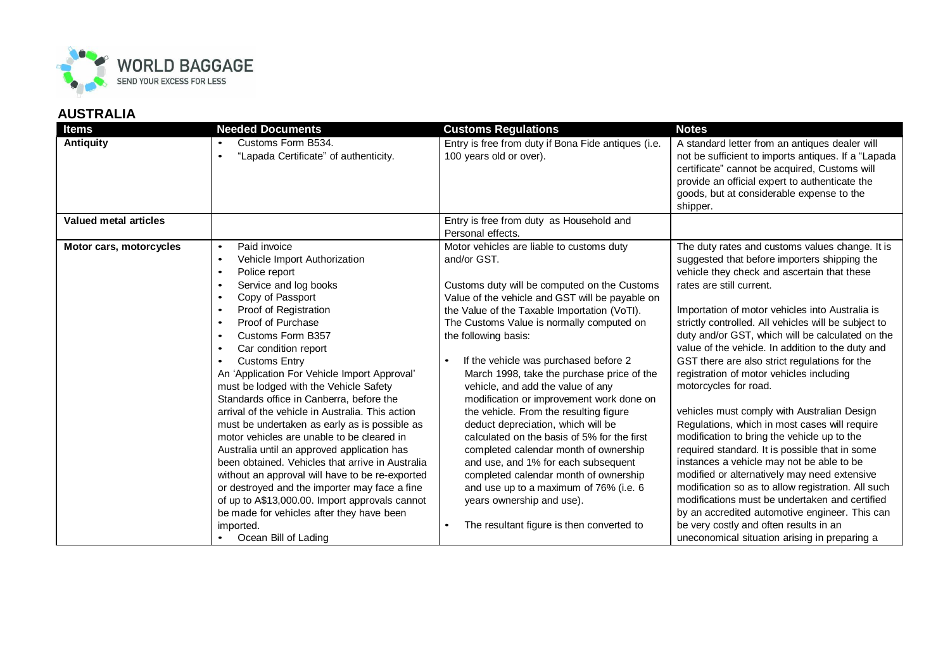

| <b>Items</b>                 | <b>Needed Documents</b>                                                                                                                                                                                                                                                                                                                                                                                                                                                                                                                                                                                                                                                                                                                                                                                                                                                                                                                                                                               | <b>Customs Regulations</b>                                                                                                                                                                                                                                                                                                                                                                                                                                                                                                                                                                                                                                                                                                                                                                                                           | <b>Notes</b>                                                                                                                                                                                                                                                                                                                                                                                                                                                                                                                                                                                                                                                                                                                                                                                                                                                                                                                                                                                                                                                            |
|------------------------------|-------------------------------------------------------------------------------------------------------------------------------------------------------------------------------------------------------------------------------------------------------------------------------------------------------------------------------------------------------------------------------------------------------------------------------------------------------------------------------------------------------------------------------------------------------------------------------------------------------------------------------------------------------------------------------------------------------------------------------------------------------------------------------------------------------------------------------------------------------------------------------------------------------------------------------------------------------------------------------------------------------|--------------------------------------------------------------------------------------------------------------------------------------------------------------------------------------------------------------------------------------------------------------------------------------------------------------------------------------------------------------------------------------------------------------------------------------------------------------------------------------------------------------------------------------------------------------------------------------------------------------------------------------------------------------------------------------------------------------------------------------------------------------------------------------------------------------------------------------|-------------------------------------------------------------------------------------------------------------------------------------------------------------------------------------------------------------------------------------------------------------------------------------------------------------------------------------------------------------------------------------------------------------------------------------------------------------------------------------------------------------------------------------------------------------------------------------------------------------------------------------------------------------------------------------------------------------------------------------------------------------------------------------------------------------------------------------------------------------------------------------------------------------------------------------------------------------------------------------------------------------------------------------------------------------------------|
| <b>Antiquity</b>             | Customs Form B534.<br>$\bullet$<br>"Lapada Certificate" of authenticity.                                                                                                                                                                                                                                                                                                                                                                                                                                                                                                                                                                                                                                                                                                                                                                                                                                                                                                                              | Entry is free from duty if Bona Fide antiques (i.e.<br>100 years old or over).                                                                                                                                                                                                                                                                                                                                                                                                                                                                                                                                                                                                                                                                                                                                                       | A standard letter from an antiques dealer will<br>not be sufficient to imports antiques. If a "Lapada<br>certificate" cannot be acquired, Customs will<br>provide an official expert to authenticate the<br>goods, but at considerable expense to the<br>shipper.                                                                                                                                                                                                                                                                                                                                                                                                                                                                                                                                                                                                                                                                                                                                                                                                       |
| <b>Valued metal articles</b> |                                                                                                                                                                                                                                                                                                                                                                                                                                                                                                                                                                                                                                                                                                                                                                                                                                                                                                                                                                                                       | Entry is free from duty as Household and<br>Personal effects.                                                                                                                                                                                                                                                                                                                                                                                                                                                                                                                                                                                                                                                                                                                                                                        |                                                                                                                                                                                                                                                                                                                                                                                                                                                                                                                                                                                                                                                                                                                                                                                                                                                                                                                                                                                                                                                                         |
| Motor cars, motorcycles      | Paid invoice<br>$\bullet$<br>Vehicle Import Authorization<br>$\bullet$<br>Police report<br>$\bullet$<br>Service and log books<br>$\bullet$<br>Copy of Passport<br>$\bullet$<br>Proof of Registration<br>$\bullet$<br>Proof of Purchase<br>$\bullet$<br>Customs Form B357<br>$\bullet$<br>Car condition report<br>$\bullet$<br><b>Customs Entry</b><br>$\bullet$<br>An 'Application For Vehicle Import Approval'<br>must be lodged with the Vehicle Safety<br>Standards office in Canberra, before the<br>arrival of the vehicle in Australia. This action<br>must be undertaken as early as is possible as<br>motor vehicles are unable to be cleared in<br>Australia until an approved application has<br>been obtained. Vehicles that arrive in Australia<br>without an approval will have to be re-exported<br>or destroyed and the importer may face a fine<br>of up to A\$13,000.00. Import approvals cannot<br>be made for vehicles after they have been<br>imported.<br>• Ocean Bill of Lading | Motor vehicles are liable to customs duty<br>and/or GST.<br>Customs duty will be computed on the Customs<br>Value of the vehicle and GST will be payable on<br>the Value of the Taxable Importation (VoTI).<br>The Customs Value is normally computed on<br>the following basis:<br>If the vehicle was purchased before 2<br>March 1998, take the purchase price of the<br>vehicle, and add the value of any<br>modification or improvement work done on<br>the vehicle. From the resulting figure<br>deduct depreciation, which will be<br>calculated on the basis of 5% for the first<br>completed calendar month of ownership<br>and use, and 1% for each subsequent<br>completed calendar month of ownership<br>and use up to a maximum of 76% (i.e. 6<br>years ownership and use).<br>The resultant figure is then converted to | The duty rates and customs values change. It is<br>suggested that before importers shipping the<br>vehicle they check and ascertain that these<br>rates are still current.<br>Importation of motor vehicles into Australia is<br>strictly controlled. All vehicles will be subject to<br>duty and/or GST, which will be calculated on the<br>value of the vehicle. In addition to the duty and<br>GST there are also strict regulations for the<br>registration of motor vehicles including<br>motorcycles for road.<br>vehicles must comply with Australian Design<br>Regulations, which in most cases will require<br>modification to bring the vehicle up to the<br>required standard. It is possible that in some<br>instances a vehicle may not be able to be<br>modified or alternatively may need extensive<br>modification so as to allow registration. All such<br>modifications must be undertaken and certified<br>by an accredited automotive engineer. This can<br>be very costly and often results in an<br>uneconomical situation arising in preparing a |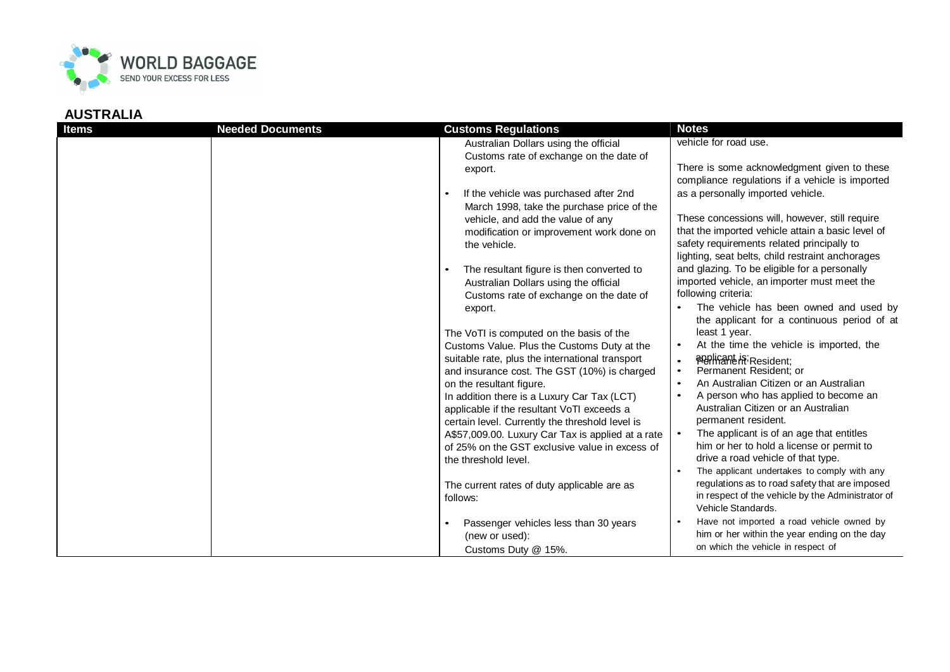

| <b>Items</b> | <b>Needed Documents</b> | <b>Customs Regulations</b>                                                                      | <b>Notes</b>                                                                                                                                        |
|--------------|-------------------------|-------------------------------------------------------------------------------------------------|-----------------------------------------------------------------------------------------------------------------------------------------------------|
|              |                         | Australian Dollars using the official<br>Customs rate of exchange on the date of                | vehicle for road use.                                                                                                                               |
|              |                         | export.                                                                                         | There is some acknowledgment given to these<br>compliance regulations if a vehicle is imported                                                      |
|              |                         | If the vehicle was purchased after 2nd<br>$\bullet$                                             | as a personally imported vehicle.                                                                                                                   |
|              |                         | March 1998, take the purchase price of the<br>vehicle, and add the value of any                 | These concessions will, however, still require                                                                                                      |
|              |                         | modification or improvement work done on<br>the vehicle.                                        | that the imported vehicle attain a basic level of<br>safety requirements related principally to<br>lighting, seat belts, child restraint anchorages |
|              |                         | The resultant figure is then converted to<br>$\bullet$<br>Australian Dollars using the official | and glazing. To be eligible for a personally<br>imported vehicle, an importer must meet the<br>following criteria:                                  |
|              |                         | Customs rate of exchange on the date of<br>export.                                              | The vehicle has been owned and used by<br>the applicant for a continuous period of at                                                               |
|              |                         | The VoTI is computed on the basis of the                                                        | least 1 year.<br>At the time the vehicle is imported, the                                                                                           |
|              |                         | Customs Value. Plus the Customs Duty at the<br>suitable rate, plus the international transport  | <b>POPISANE IS:</b> Resident;                                                                                                                       |
|              |                         | and insurance cost. The GST (10%) is charged                                                    | Permanent Resident: or                                                                                                                              |
|              |                         | on the resultant figure.<br>In addition there is a Luxury Car Tax (LCT)                         | An Australian Citizen or an Australian<br>A person who has applied to become an                                                                     |
|              |                         | applicable if the resultant VoTI exceeds a<br>certain level. Currently the threshold level is   | Australian Citizen or an Australian<br>permanent resident.                                                                                          |
|              |                         | A\$57,009.00. Luxury Car Tax is applied at a rate                                               | The applicant is of an age that entitles                                                                                                            |
|              |                         | of 25% on the GST exclusive value in excess of<br>the threshold level.                          | him or her to hold a license or permit to<br>drive a road vehicle of that type.                                                                     |
|              |                         |                                                                                                 | The applicant undertakes to comply with any                                                                                                         |
|              |                         | The current rates of duty applicable are as<br>follows:                                         | regulations as to road safety that are imposed<br>in respect of the vehicle by the Administrator of<br>Vehicle Standards.                           |
|              |                         | Passenger vehicles less than 30 years                                                           | Have not imported a road vehicle owned by                                                                                                           |
|              |                         | (new or used):<br>Customs Duty @ 15%.                                                           | him or her within the year ending on the day<br>on which the vehicle in respect of                                                                  |
|              |                         |                                                                                                 |                                                                                                                                                     |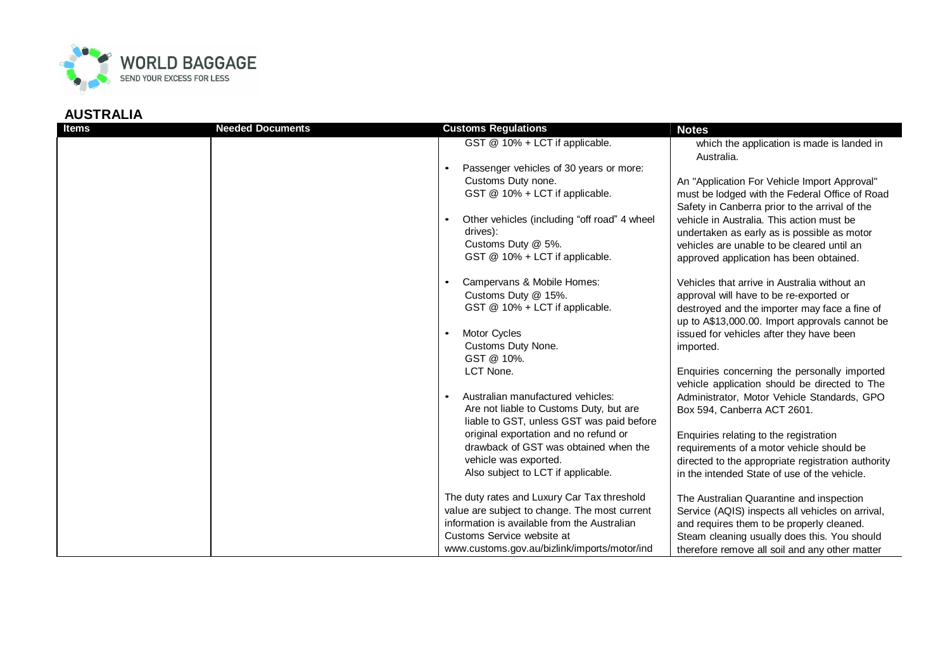

| <b>Items</b> | <b>Needed Documents</b> | <b>Customs Regulations</b>                                                                                                                                                                                                                                                                                                                                                                                                                      | <b>Notes</b>                                                                                                                                                                                                                                                                                                                                                                                                                                                                                                                                                                                                                    |
|--------------|-------------------------|-------------------------------------------------------------------------------------------------------------------------------------------------------------------------------------------------------------------------------------------------------------------------------------------------------------------------------------------------------------------------------------------------------------------------------------------------|---------------------------------------------------------------------------------------------------------------------------------------------------------------------------------------------------------------------------------------------------------------------------------------------------------------------------------------------------------------------------------------------------------------------------------------------------------------------------------------------------------------------------------------------------------------------------------------------------------------------------------|
|              |                         | GST @ 10% + LCT if applicable.<br>Passenger vehicles of 30 years or more:<br>$\bullet$<br>Customs Duty none.<br>GST @ 10% + LCT if applicable.<br>Other vehicles (including "off road" 4 wheel<br>drives):<br>Customs Duty @ 5%.<br>GST @ 10% + LCT if applicable.                                                                                                                                                                              | which the application is made is landed in<br>Australia.<br>An "Application For Vehicle Import Approval"<br>must be lodged with the Federal Office of Road<br>Safety in Canberra prior to the arrival of the<br>vehicle in Australia. This action must be<br>undertaken as early as is possible as motor<br>vehicles are unable to be cleared until an<br>approved application has been obtained.                                                                                                                                                                                                                               |
|              |                         | Campervans & Mobile Homes:<br>Customs Duty @ 15%.<br>GST @ 10% + LCT if applicable.<br>Motor Cycles<br>$\bullet$<br>Customs Duty None.<br>GST @ 10%.<br>LCT None.<br>Australian manufactured vehicles:<br>Are not liable to Customs Duty, but are<br>liable to GST, unless GST was paid before<br>original exportation and no refund or<br>drawback of GST was obtained when the<br>vehicle was exported.<br>Also subject to LCT if applicable. | Vehicles that arrive in Australia without an<br>approval will have to be re-exported or<br>destroyed and the importer may face a fine of<br>up to A\$13,000.00. Import approvals cannot be<br>issued for vehicles after they have been<br>imported.<br>Enquiries concerning the personally imported<br>vehicle application should be directed to The<br>Administrator, Motor Vehicle Standards, GPO<br>Box 594, Canberra ACT 2601.<br>Enquiries relating to the registration<br>requirements of a motor vehicle should be<br>directed to the appropriate registration authority<br>in the intended State of use of the vehicle. |
|              |                         | The duty rates and Luxury Car Tax threshold<br>value are subject to change. The most current<br>information is available from the Australian<br>Customs Service website at<br>www.customs.gov.au/bizlink/imports/motor/ind                                                                                                                                                                                                                      | The Australian Quarantine and inspection<br>Service (AQIS) inspects all vehicles on arrival,<br>and requires them to be properly cleaned.<br>Steam cleaning usually does this. You should<br>therefore remove all soil and any other matter                                                                                                                                                                                                                                                                                                                                                                                     |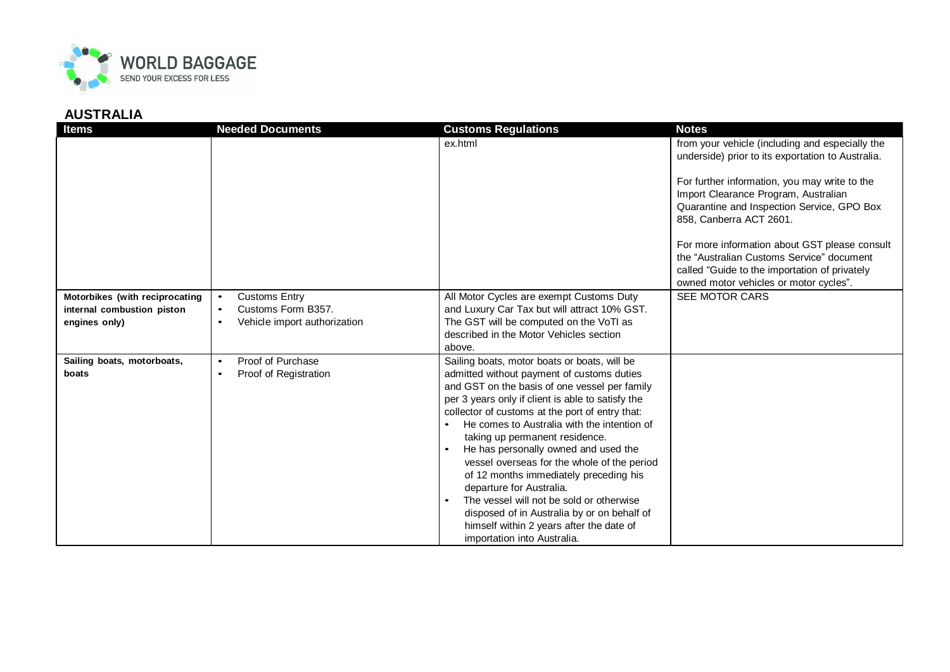

| <b>Items</b>                        | <b>Needed Documents</b>                   | <b>Customs Regulations</b>                                                                                                                                                                                                                                                                                                                                                                                                                                                                                                                                                                                                                                              | <b>Notes</b>                                                                                                                                                                                                                                                                                                                                                                                                                                                    |
|-------------------------------------|-------------------------------------------|-------------------------------------------------------------------------------------------------------------------------------------------------------------------------------------------------------------------------------------------------------------------------------------------------------------------------------------------------------------------------------------------------------------------------------------------------------------------------------------------------------------------------------------------------------------------------------------------------------------------------------------------------------------------------|-----------------------------------------------------------------------------------------------------------------------------------------------------------------------------------------------------------------------------------------------------------------------------------------------------------------------------------------------------------------------------------------------------------------------------------------------------------------|
|                                     |                                           | ex.html                                                                                                                                                                                                                                                                                                                                                                                                                                                                                                                                                                                                                                                                 | from your vehicle (including and especially the<br>underside) prior to its exportation to Australia.<br>For further information, you may write to the<br>Import Clearance Program, Australian<br>Quarantine and Inspection Service, GPO Box<br>858, Canberra ACT 2601.<br>For more information about GST please consult<br>the "Australian Customs Service" document<br>called "Guide to the importation of privately<br>owned motor vehicles or motor cycles". |
| Motorbikes (with reciprocating      | <b>Customs Entry</b><br>$\bullet$         | All Motor Cycles are exempt Customs Duty                                                                                                                                                                                                                                                                                                                                                                                                                                                                                                                                                                                                                                | SEE MOTOR CARS                                                                                                                                                                                                                                                                                                                                                                                                                                                  |
| internal combustion piston          | Customs Form B357.<br>$\bullet$           | and Luxury Car Tax but will attract 10% GST.                                                                                                                                                                                                                                                                                                                                                                                                                                                                                                                                                                                                                            |                                                                                                                                                                                                                                                                                                                                                                                                                                                                 |
| engines only)                       | Vehicle import authorization<br>$\bullet$ | The GST will be computed on the VoTI as                                                                                                                                                                                                                                                                                                                                                                                                                                                                                                                                                                                                                                 |                                                                                                                                                                                                                                                                                                                                                                                                                                                                 |
|                                     |                                           | described in the Motor Vehicles section                                                                                                                                                                                                                                                                                                                                                                                                                                                                                                                                                                                                                                 |                                                                                                                                                                                                                                                                                                                                                                                                                                                                 |
|                                     | Proof of Purchase<br>$\bullet$            | above.                                                                                                                                                                                                                                                                                                                                                                                                                                                                                                                                                                                                                                                                  |                                                                                                                                                                                                                                                                                                                                                                                                                                                                 |
| Sailing boats, motorboats,<br>boats | Proof of Registration<br>$\bullet$        | Sailing boats, motor boats or boats, will be<br>admitted without payment of customs duties<br>and GST on the basis of one vessel per family<br>per 3 years only if client is able to satisfy the<br>collector of customs at the port of entry that:<br>He comes to Australia with the intention of<br>taking up permanent residence.<br>He has personally owned and used the<br>vessel overseas for the whole of the period<br>of 12 months immediately preceding his<br>departure for Australia.<br>The vessel will not be sold or otherwise<br>disposed of in Australia by or on behalf of<br>himself within 2 years after the date of<br>importation into Australia. |                                                                                                                                                                                                                                                                                                                                                                                                                                                                 |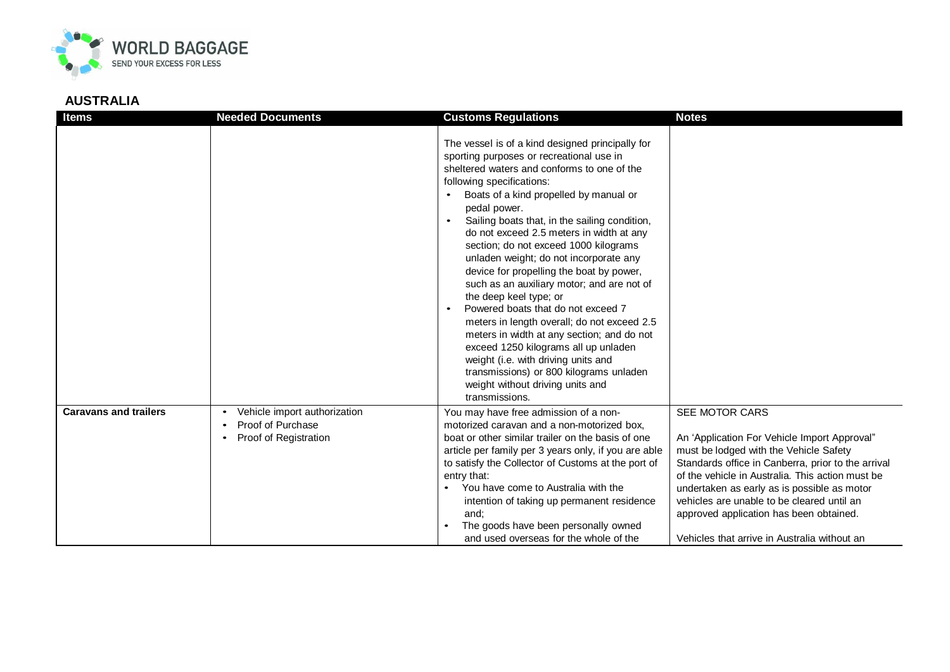

| <b>Items</b>                 | <b>Needed Documents</b>                                                    | <b>Customs Regulations</b>                                                                                                                                                                                                                                                                                                                                                                                                                                                                                                                                                                                                                                                                                                                                                                                                                                                          | <b>Notes</b>                                                                                                                                                                                                                                                                                                                                                                                               |
|------------------------------|----------------------------------------------------------------------------|-------------------------------------------------------------------------------------------------------------------------------------------------------------------------------------------------------------------------------------------------------------------------------------------------------------------------------------------------------------------------------------------------------------------------------------------------------------------------------------------------------------------------------------------------------------------------------------------------------------------------------------------------------------------------------------------------------------------------------------------------------------------------------------------------------------------------------------------------------------------------------------|------------------------------------------------------------------------------------------------------------------------------------------------------------------------------------------------------------------------------------------------------------------------------------------------------------------------------------------------------------------------------------------------------------|
|                              |                                                                            | The vessel is of a kind designed principally for<br>sporting purposes or recreational use in<br>sheltered waters and conforms to one of the<br>following specifications:<br>Boats of a kind propelled by manual or<br>$\bullet$<br>pedal power.<br>Sailing boats that, in the sailing condition,<br>$\bullet$<br>do not exceed 2.5 meters in width at any<br>section; do not exceed 1000 kilograms<br>unladen weight; do not incorporate any<br>device for propelling the boat by power,<br>such as an auxiliary motor; and are not of<br>the deep keel type; or<br>Powered boats that do not exceed 7<br>meters in length overall; do not exceed 2.5<br>meters in width at any section; and do not<br>exceed 1250 kilograms all up unladen<br>weight (i.e. with driving units and<br>transmissions) or 800 kilograms unladen<br>weight without driving units and<br>transmissions. |                                                                                                                                                                                                                                                                                                                                                                                                            |
| <b>Caravans and trailers</b> | Vehicle import authorization<br>Proof of Purchase<br>Proof of Registration | You may have free admission of a non-<br>motorized caravan and a non-motorized box,<br>boat or other similar trailer on the basis of one<br>article per family per 3 years only, if you are able<br>to satisfy the Collector of Customs at the port of<br>entry that:<br>You have come to Australia with the<br>intention of taking up permanent residence<br>and:<br>The goods have been personally owned<br>and used overseas for the whole of the                                                                                                                                                                                                                                                                                                                                                                                                                                | SEE MOTOR CARS<br>An 'Application For Vehicle Import Approval"<br>must be lodged with the Vehicle Safety<br>Standards office in Canberra, prior to the arrival<br>of the vehicle in Australia. This action must be<br>undertaken as early as is possible as motor<br>vehicles are unable to be cleared until an<br>approved application has been obtained.<br>Vehicles that arrive in Australia without an |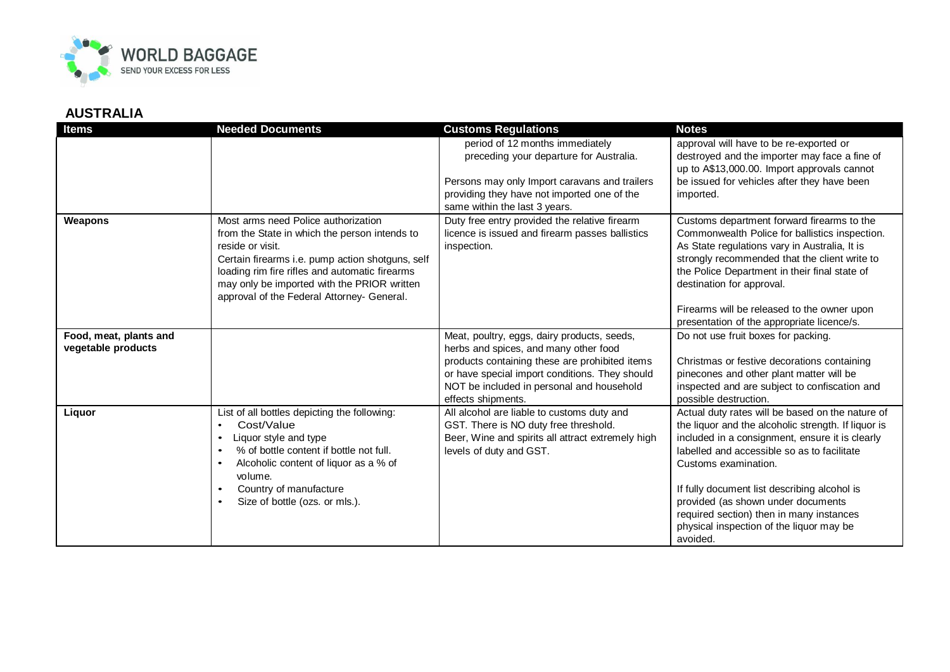

| <b>Items</b>                                 | <b>Needed Documents</b>                                                                                                                                                                                                                                                                                                      | <b>Customs Regulations</b>                                                                                                                                                                                                                                  | <b>Notes</b>                                                                                                                                                                                                                                                                                                                                                                                                                |
|----------------------------------------------|------------------------------------------------------------------------------------------------------------------------------------------------------------------------------------------------------------------------------------------------------------------------------------------------------------------------------|-------------------------------------------------------------------------------------------------------------------------------------------------------------------------------------------------------------------------------------------------------------|-----------------------------------------------------------------------------------------------------------------------------------------------------------------------------------------------------------------------------------------------------------------------------------------------------------------------------------------------------------------------------------------------------------------------------|
|                                              |                                                                                                                                                                                                                                                                                                                              | period of 12 months immediately<br>preceding your departure for Australia.<br>Persons may only Import caravans and trailers<br>providing they have not imported one of the<br>same within the last 3 years.                                                 | approval will have to be re-exported or<br>destroyed and the importer may face a fine of<br>up to A\$13,000.00. Import approvals cannot<br>be issued for vehicles after they have been<br>imported.                                                                                                                                                                                                                         |
| Weapons                                      | Most arms need Police authorization<br>from the State in which the person intends to<br>reside or visit.<br>Certain firearms i.e. pump action shotguns, self<br>loading rim fire rifles and automatic firearms<br>may only be imported with the PRIOR written<br>approval of the Federal Attorney- General.                  | Duty free entry provided the relative firearm<br>licence is issued and firearm passes ballistics<br>inspection.                                                                                                                                             | Customs department forward firearms to the<br>Commonwealth Police for ballistics inspection.<br>As State regulations vary in Australia, It is<br>strongly recommended that the client write to<br>the Police Department in their final state of<br>destination for approval.<br>Firearms will be released to the owner upon<br>presentation of the appropriate licence/s.                                                   |
| Food, meat, plants and<br>vegetable products |                                                                                                                                                                                                                                                                                                                              | Meat, poultry, eggs, dairy products, seeds,<br>herbs and spices, and many other food<br>products containing these are prohibited items<br>or have special import conditions. They should<br>NOT be included in personal and household<br>effects shipments. | Do not use fruit boxes for packing.<br>Christmas or festive decorations containing<br>pinecones and other plant matter will be<br>inspected and are subject to confiscation and<br>possible destruction.                                                                                                                                                                                                                    |
| Liquor                                       | List of all bottles depicting the following:<br>Cost/Value<br>$\bullet$<br>Liquor style and type<br>$\bullet$<br>% of bottle content if bottle not full.<br>$\bullet$<br>Alcoholic content of liquor as a % of<br>$\bullet$<br>volume.<br>Country of manufacture<br>$\bullet$<br>Size of bottle (ozs. or mls.).<br>$\bullet$ | All alcohol are liable to customs duty and<br>GST. There is NO duty free threshold.<br>Beer, Wine and spirits all attract extremely high<br>levels of duty and GST.                                                                                         | Actual duty rates will be based on the nature of<br>the liquor and the alcoholic strength. If liquor is<br>included in a consignment, ensure it is clearly<br>labelled and accessible so as to facilitate<br>Customs examination.<br>If fully document list describing alcohol is<br>provided (as shown under documents<br>required section) then in many instances<br>physical inspection of the liquor may be<br>avoided. |